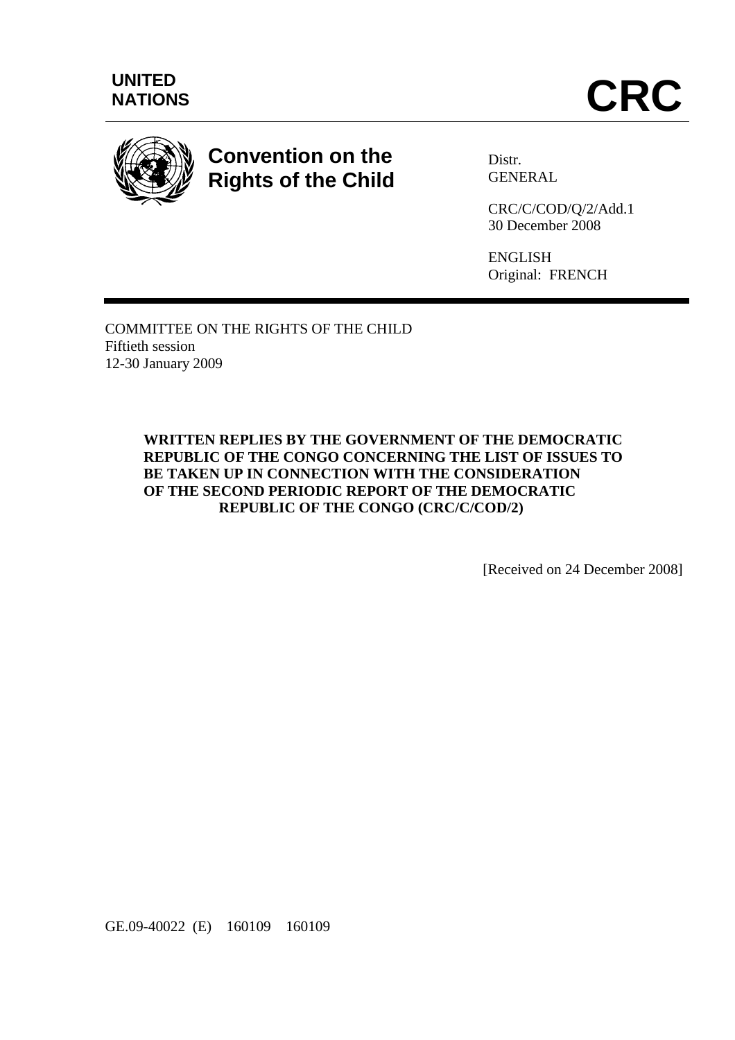



# **Convention on the Rights of the Child**

Distr. GENERAL

CRC/C/COD/Q/2/Add.1 30 December 2008

ENGLISH Original: FRENCH

COMMITTEE ON THE RIGHTS OF THE CHILD Fiftieth session 12-30 January 2009

> **WRITTEN REPLIES BY THE GOVERNMENT OF THE DEMOCRATIC REPUBLIC OF THE CONGO CONCERNING THE LIST OF ISSUES TO BE TAKEN UP IN CONNECTION WITH THE CONSIDERATION OF THE SECOND PERIODIC REPORT OF THE DEMOCRATIC REPUBLIC OF THE CONGO (CRC/C/COD/2)**

> > [Received on 24 December 2008]

GE.09-40022 (E) 160109 160109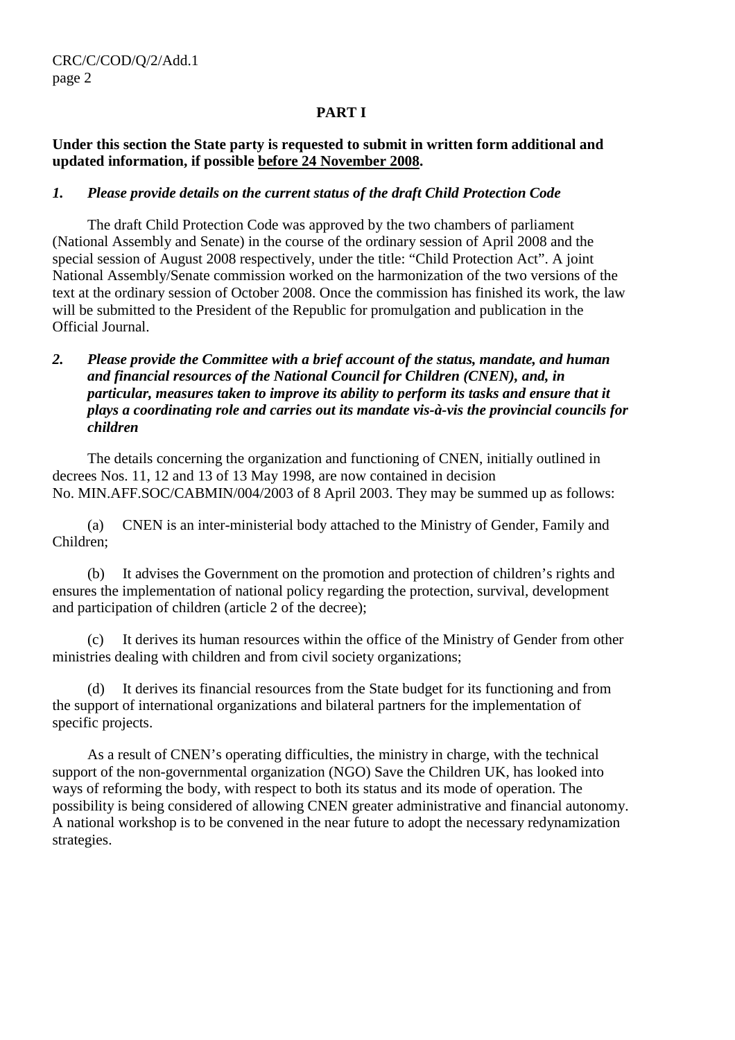# **PART I**

# **Under this section the State party is requested to submit in written form additional and updated information, if possible before 24 November 2008.**

# *1. Please provide details on the current status of the draft Child Protection Code*

 The draft Child Protection Code was approved by the two chambers of parliament (National Assembly and Senate) in the course of the ordinary session of April 2008 and the special session of August 2008 respectively, under the title: "Child Protection Act". A joint National Assembly/Senate commission worked on the harmonization of the two versions of the text at the ordinary session of October 2008. Once the commission has finished its work, the law will be submitted to the President of the Republic for promulgation and publication in the Official Journal.

# *2. Please provide the Committee with a brief account of the status, mandate, and human and financial resources of the National Council for Children (CNEN), and, in particular, measures taken to improve its ability to perform its tasks and ensure that it plays a coordinating role and carries out its mandate vis-à-vis the provincial councils for children*

 The details concerning the organization and functioning of CNEN, initially outlined in decrees Nos. 11, 12 and 13 of 13 May 1998, are now contained in decision No. MIN.AFF.SOC/CABMIN/004/2003 of 8 April 2003. They may be summed up as follows:

 (a) CNEN is an inter-ministerial body attached to the Ministry of Gender, Family and Children;

 (b) It advises the Government on the promotion and protection of children's rights and ensures the implementation of national policy regarding the protection, survival, development and participation of children (article 2 of the decree);

 (c) It derives its human resources within the office of the Ministry of Gender from other ministries dealing with children and from civil society organizations;

 (d) It derives its financial resources from the State budget for its functioning and from the support of international organizations and bilateral partners for the implementation of specific projects.

 As a result of CNEN's operating difficulties, the ministry in charge, with the technical support of the non-governmental organization (NGO) Save the Children UK, has looked into ways of reforming the body, with respect to both its status and its mode of operation. The possibility is being considered of allowing CNEN greater administrative and financial autonomy. A national workshop is to be convened in the near future to adopt the necessary redynamization strategies.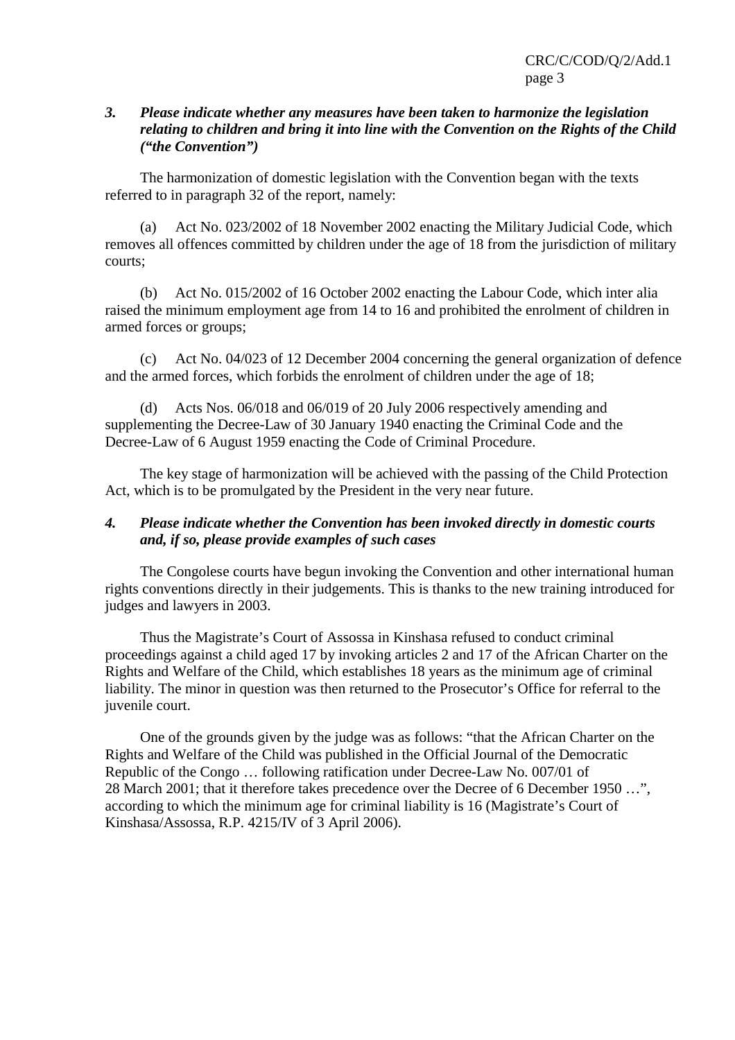#### *3. Please indicate whether any measures have been taken to harmonize the legislation relating to children and bring it into line with the Convention on the Rights of the Child ("the Convention")*

 The harmonization of domestic legislation with the Convention began with the texts referred to in paragraph 32 of the report, namely:

 (a) Act No. 023/2002 of 18 November 2002 enacting the Military Judicial Code, which removes all offences committed by children under the age of 18 from the jurisdiction of military courts;

 (b) Act No. 015/2002 of 16 October 2002 enacting the Labour Code, which inter alia raised the minimum employment age from 14 to 16 and prohibited the enrolment of children in armed forces or groups;

 (c) Act No. 04/023 of 12 December 2004 concerning the general organization of defence and the armed forces, which forbids the enrolment of children under the age of 18;

 (d) Acts Nos. 06/018 and 06/019 of 20 July 2006 respectively amending and supplementing the Decree-Law of 30 January 1940 enacting the Criminal Code and the Decree-Law of 6 August 1959 enacting the Code of Criminal Procedure.

 The key stage of harmonization will be achieved with the passing of the Child Protection Act, which is to be promulgated by the President in the very near future.

# *4. Please indicate whether the Convention has been invoked directly in domestic courts and, if so, please provide examples of such cases*

 The Congolese courts have begun invoking the Convention and other international human rights conventions directly in their judgements. This is thanks to the new training introduced for judges and lawyers in 2003.

 Thus the Magistrate's Court of Assossa in Kinshasa refused to conduct criminal proceedings against a child aged 17 by invoking articles 2 and 17 of the African Charter on the Rights and Welfare of the Child, which establishes 18 years as the minimum age of criminal liability. The minor in question was then returned to the Prosecutor's Office for referral to the juvenile court.

 One of the grounds given by the judge was as follows: "that the African Charter on the Rights and Welfare of the Child was published in the Official Journal of the Democratic Republic of the Congo … following ratification under Decree-Law No. 007/01 of 28 March 2001; that it therefore takes precedence over the Decree of 6 December 1950 …", according to which the minimum age for criminal liability is 16 (Magistrate's Court of Kinshasa/Assossa, R.P. 4215/IV of 3 April 2006).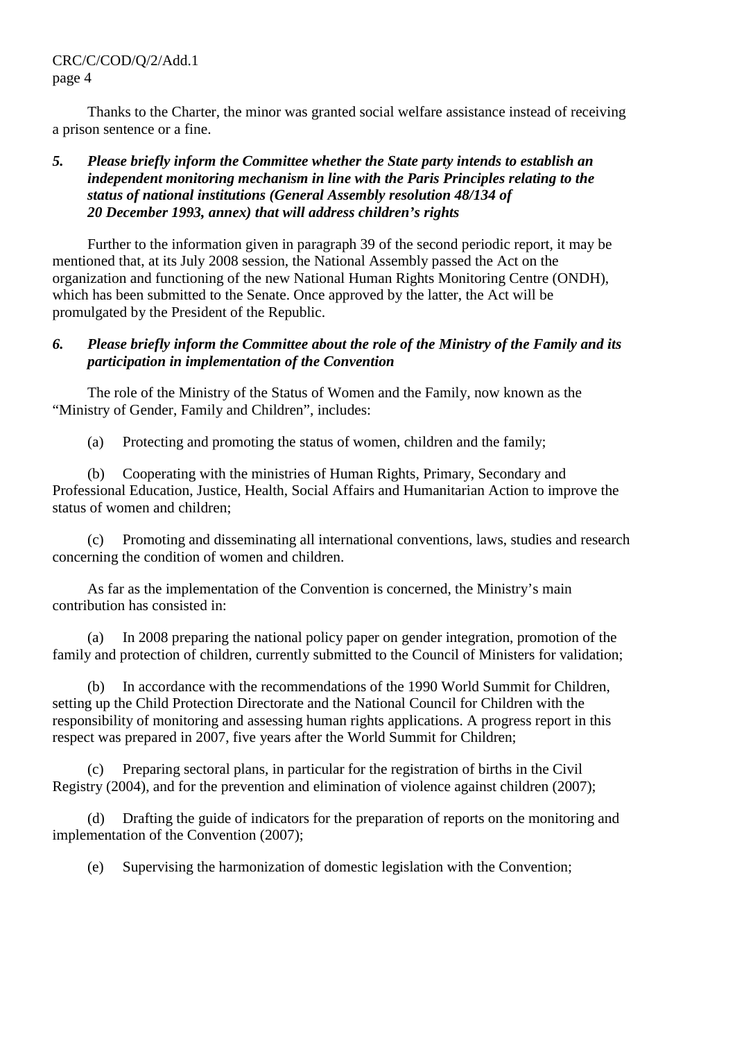CRC/C/COD/Q/2/Add.1 page 4

 Thanks to the Charter, the minor was granted social welfare assistance instead of receiving a prison sentence or a fine.

# *5. Please briefly inform the Committee whether the State party intends to establish an independent monitoring mechanism in line with the Paris Principles relating to the status of national institutions (General Assembly resolution 48/134 of 20 December 1993, annex) that will address children's rights*

 Further to the information given in paragraph 39 of the second periodic report, it may be mentioned that, at its July 2008 session, the National Assembly passed the Act on the organization and functioning of the new National Human Rights Monitoring Centre (ONDH), which has been submitted to the Senate. Once approved by the latter, the Act will be promulgated by the President of the Republic.

# *6. Please briefly inform the Committee about the role of the Ministry of the Family and its participation in implementation of the Convention*

 The role of the Ministry of the Status of Women and the Family, now known as the "Ministry of Gender, Family and Children", includes:

(a) Protecting and promoting the status of women, children and the family;

 (b) Cooperating with the ministries of Human Rights, Primary, Secondary and Professional Education, Justice, Health, Social Affairs and Humanitarian Action to improve the status of women and children;

 (c) Promoting and disseminating all international conventions, laws, studies and research concerning the condition of women and children.

 As far as the implementation of the Convention is concerned, the Ministry's main contribution has consisted in:

 (a) In 2008 preparing the national policy paper on gender integration, promotion of the family and protection of children, currently submitted to the Council of Ministers for validation;

 (b) In accordance with the recommendations of the 1990 World Summit for Children, setting up the Child Protection Directorate and the National Council for Children with the responsibility of monitoring and assessing human rights applications. A progress report in this respect was prepared in 2007, five years after the World Summit for Children;

 (c) Preparing sectoral plans, in particular for the registration of births in the Civil Registry (2004), and for the prevention and elimination of violence against children (2007);

 (d) Drafting the guide of indicators for the preparation of reports on the monitoring and implementation of the Convention (2007);

(e) Supervising the harmonization of domestic legislation with the Convention;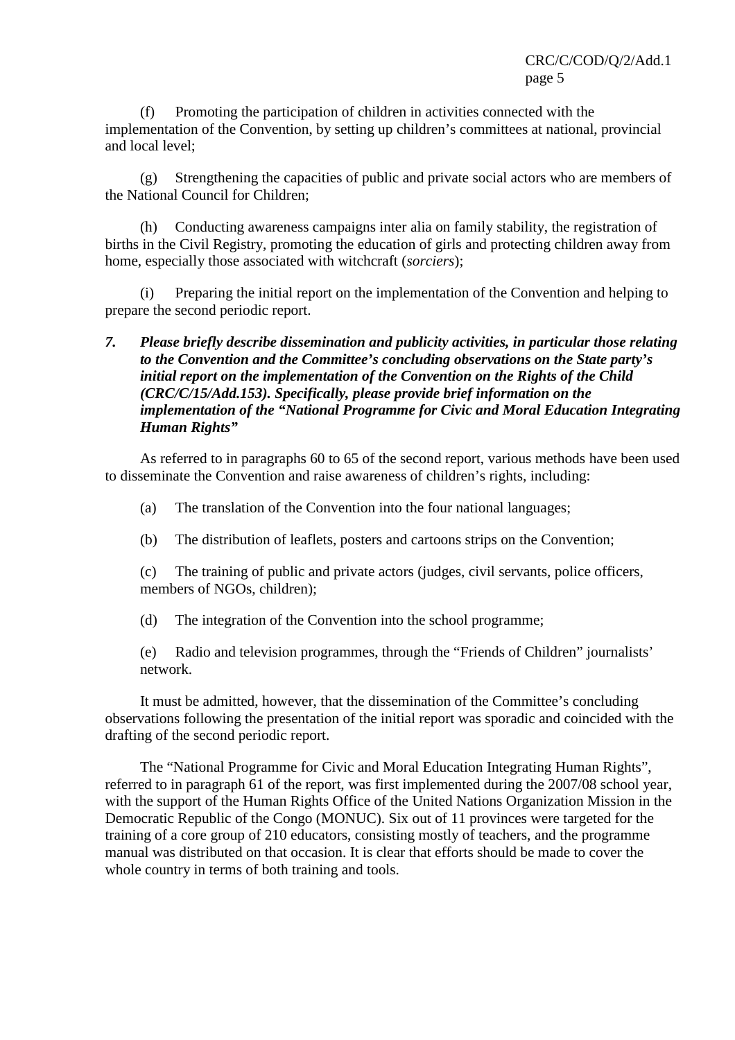(f) Promoting the participation of children in activities connected with the implementation of the Convention, by setting up children's committees at national, provincial and local level;

 (g) Strengthening the capacities of public and private social actors who are members of the National Council for Children;

 (h) Conducting awareness campaigns inter alia on family stability, the registration of births in the Civil Registry, promoting the education of girls and protecting children away from home, especially those associated with witchcraft (*sorciers*);

 (i) Preparing the initial report on the implementation of the Convention and helping to prepare the second periodic report.

# *7. Please briefly describe dissemination and publicity activities, in particular those relating to the Convention and the Committee's concluding observations on the State party's initial report on the implementation of the Convention on the Rights of the Child (CRC/C/15/Add.153). Specifically, please provide brief information on the implementation of the "National Programme for Civic and Moral Education Integrating Human Rights"*

 As referred to in paragraphs 60 to 65 of the second report, various methods have been used to disseminate the Convention and raise awareness of children's rights, including:

- (a) The translation of the Convention into the four national languages;
- (b) The distribution of leaflets, posters and cartoons strips on the Convention;

 (c) The training of public and private actors (judges, civil servants, police officers, members of NGOs, children);

(d) The integration of the Convention into the school programme;

 (e) Radio and television programmes, through the "Friends of Children" journalists' network.

 It must be admitted, however, that the dissemination of the Committee's concluding observations following the presentation of the initial report was sporadic and coincided with the drafting of the second periodic report.

 The "National Programme for Civic and Moral Education Integrating Human Rights", referred to in paragraph 61 of the report, was first implemented during the 2007/08 school year, with the support of the Human Rights Office of the United Nations Organization Mission in the Democratic Republic of the Congo (MONUC). Six out of 11 provinces were targeted for the training of a core group of 210 educators, consisting mostly of teachers, and the programme manual was distributed on that occasion. It is clear that efforts should be made to cover the whole country in terms of both training and tools.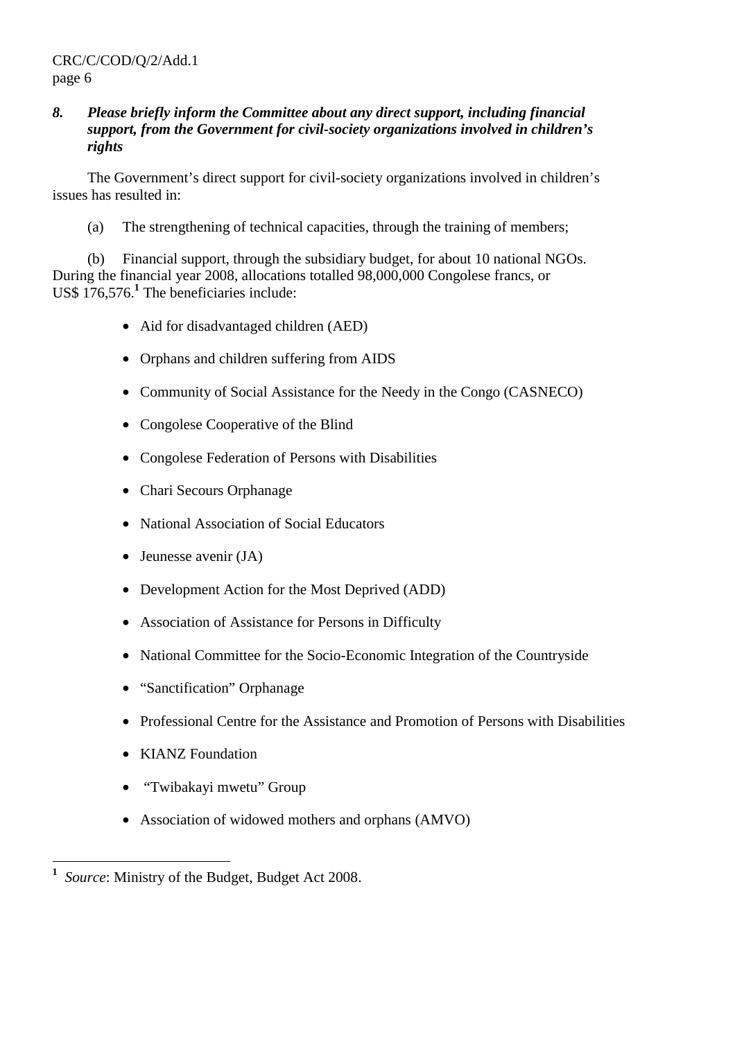## *8. Please briefly inform the Committee about any direct support, including financial support, from the Government for civil-society organizations involved in children's rights*

 The Government's direct support for civil-society organizations involved in children's issues has resulted in:

(a) The strengthening of technical capacities, through the training of members;

 (b) Financial support, through the subsidiary budget, for about 10 national NGOs. During the financial year 2008, allocations totalled 98,000,000 Congolese francs, or US\$ 176,576.<sup>1</sup> The beneficiaries include:

- Aid for disadvantaged children (AED)
- Orphans and children suffering from AIDS
- Community of Social Assistance for the Needy in the Congo (CASNECO)
- Congolese Cooperative of the Blind
- Congolese Federation of Persons with Disabilities
- Chari Secours Orphanage
- National Association of Social Educators
- Jeunesse avenir (JA)
- Development Action for the Most Deprived (ADD)
- Association of Assistance for Persons in Difficulty
- National Committee for the Socio-Economic Integration of the Countryside
- "Sanctification" Orphanage
- Professional Centre for the Assistance and Promotion of Persons with Disabilities
- KIANZ Foundation
- "Twibakayi mwetu" Group
- Association of widowed mothers and orphans (AMVO)

 **1** *Source*: Ministry of the Budget, Budget Act 2008.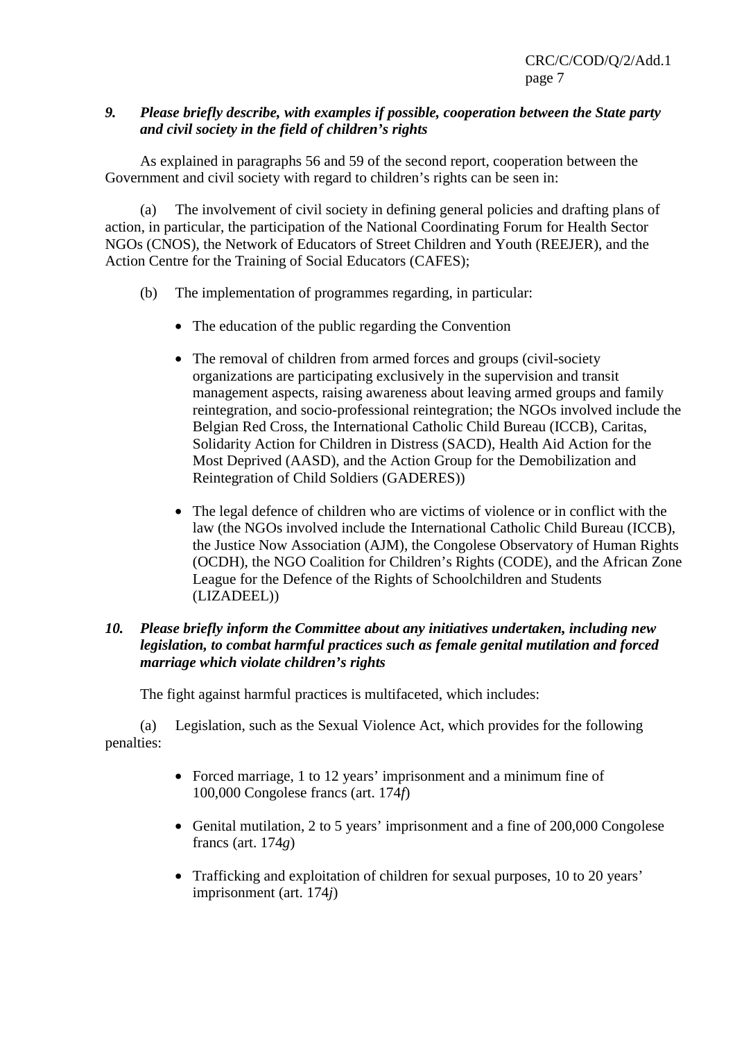# *9. Please briefly describe, with examples if possible, cooperation between the State party and civil society in the field of children's rights*

 As explained in paragraphs 56 and 59 of the second report, cooperation between the Government and civil society with regard to children's rights can be seen in:

 (a) The involvement of civil society in defining general policies and drafting plans of action, in particular, the participation of the National Coordinating Forum for Health Sector NGOs (CNOS), the Network of Educators of Street Children and Youth (REEJER), and the Action Centre for the Training of Social Educators (CAFES);

- (b) The implementation of programmes regarding, in particular:
	- The education of the public regarding the Convention
	- The removal of children from armed forces and groups (civil-society organizations are participating exclusively in the supervision and transit management aspects, raising awareness about leaving armed groups and family reintegration, and socio-professional reintegration; the NGOs involved include the Belgian Red Cross, the International Catholic Child Bureau (ICCB), Caritas, Solidarity Action for Children in Distress (SACD), Health Aid Action for the Most Deprived (AASD), and the Action Group for the Demobilization and Reintegration of Child Soldiers (GADERES))
	- The legal defence of children who are victims of violence or in conflict with the law (the NGOs involved include the International Catholic Child Bureau (ICCB), the Justice Now Association (AJM), the Congolese Observatory of Human Rights (OCDH), the NGO Coalition for Children's Rights (CODE), and the African Zone League for the Defence of the Rights of Schoolchildren and Students (LIZADEEL))

#### *10. Please briefly inform the Committee about any initiatives undertaken, including new legislation, to combat harmful practices such as female genital mutilation and forced marriage which violate children's rights*

The fight against harmful practices is multifaceted, which includes:

 (a) Legislation, such as the Sexual Violence Act, which provides for the following penalties:

- Forced marriage, 1 to 12 years' imprisonment and a minimum fine of 100,000 Congolese francs (art. 174*f*)
- Genital mutilation, 2 to 5 years' imprisonment and a fine of 200,000 Congolese francs (art. 174*g*)
- Trafficking and exploitation of children for sexual purposes, 10 to 20 years' imprisonment (art. 174*j*)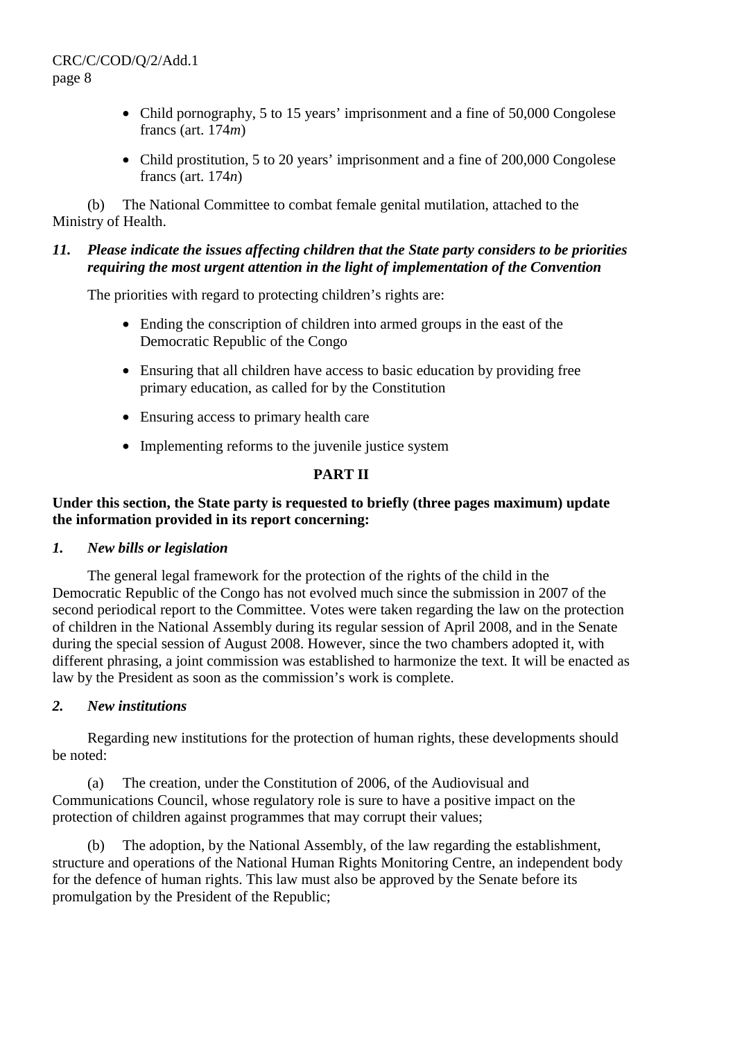- Child pornography, 5 to 15 years' imprisonment and a fine of 50,000 Congolese francs (art. 174*m*)
- Child prostitution, 5 to 20 years' imprisonment and a fine of 200,000 Congolese francs (art. 174*n*)

 (b) The National Committee to combat female genital mutilation, attached to the Ministry of Health.

# *11. Please indicate the issues affecting children that the State party considers to be priorities requiring the most urgent attention in the light of implementation of the Convention*

The priorities with regard to protecting children's rights are:

- Ending the conscription of children into armed groups in the east of the Democratic Republic of the Congo
- Ensuring that all children have access to basic education by providing free primary education, as called for by the Constitution
- Ensuring access to primary health care
- Implementing reforms to the juvenile justice system

# **PART II**

# **Under this section, the State party is requested to briefly (three pages maximum) update the information provided in its report concerning:**

#### *1. New bills or legislation*

 The general legal framework for the protection of the rights of the child in the Democratic Republic of the Congo has not evolved much since the submission in 2007 of the second periodical report to the Committee. Votes were taken regarding the law on the protection of children in the National Assembly during its regular session of April 2008, and in the Senate during the special session of August 2008. However, since the two chambers adopted it, with different phrasing, a joint commission was established to harmonize the text. It will be enacted as law by the President as soon as the commission's work is complete.

#### *2. New institutions*

 Regarding new institutions for the protection of human rights, these developments should be noted:

 (a) The creation, under the Constitution of 2006, of the Audiovisual and Communications Council, whose regulatory role is sure to have a positive impact on the protection of children against programmes that may corrupt their values;

 (b) The adoption, by the National Assembly, of the law regarding the establishment, structure and operations of the National Human Rights Monitoring Centre, an independent body for the defence of human rights. This law must also be approved by the Senate before its promulgation by the President of the Republic;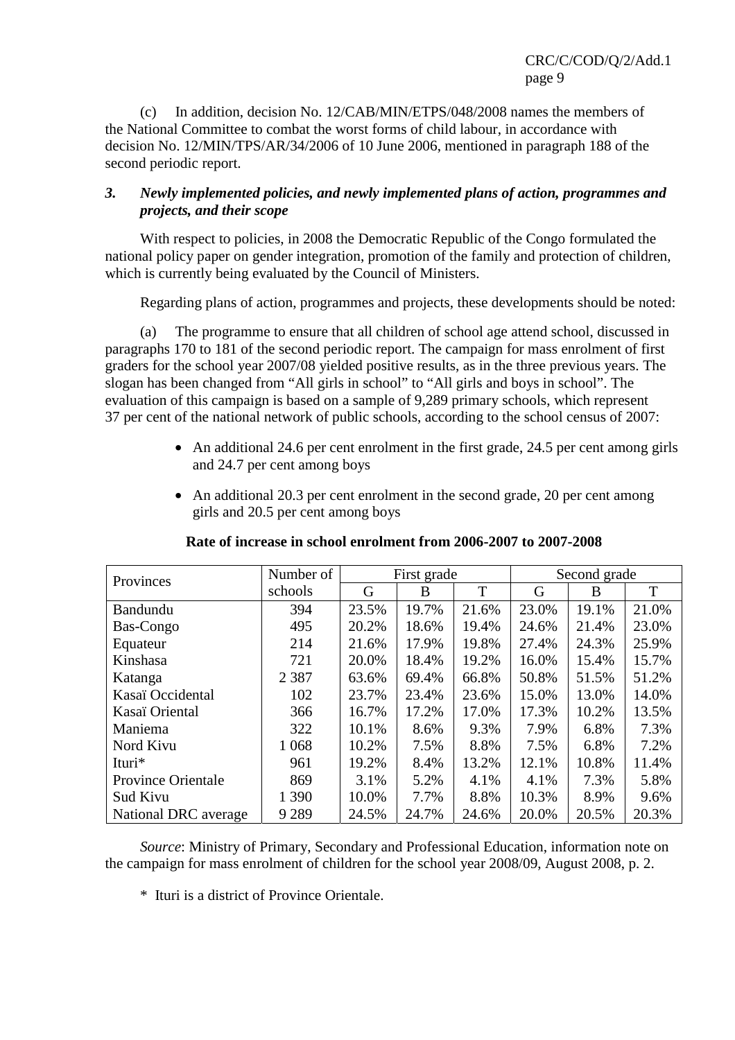(c) In addition, decision No. 12/CAB/MIN/ETPS/048/2008 names the members of the National Committee to combat the worst forms of child labour, in accordance with decision No. 12/MIN/TPS/AR/34/2006 of 10 June 2006, mentioned in paragraph 188 of the second periodic report.

# *3. Newly implemented policies, and newly implemented plans of action, programmes and projects, and their scope*

With respect to policies, in 2008 the Democratic Republic of the Congo formulated the national policy paper on gender integration, promotion of the family and protection of children, which is currently being evaluated by the Council of Ministers.

Regarding plans of action, programmes and projects, these developments should be noted:

 (a) The programme to ensure that all children of school age attend school, discussed in paragraphs 170 to 181 of the second periodic report. The campaign for mass enrolment of first graders for the school year 2007/08 yielded positive results, as in the three previous years. The slogan has been changed from "All girls in school" to "All girls and boys in school". The evaluation of this campaign is based on a sample of 9,289 primary schools, which represent 37 per cent of the national network of public schools, according to the school census of 2007:

- An additional 24.6 per cent enrolment in the first grade, 24.5 per cent among girls and 24.7 per cent among boys
- An additional 20.3 per cent enrolment in the second grade, 20 per cent among girls and 20.5 per cent among boys

| Provinces                 | Number of |       | First grade |       | Second grade |       |       |  |
|---------------------------|-----------|-------|-------------|-------|--------------|-------|-------|--|
|                           | schools   | G     | B           | T     | G            | B     | T     |  |
| Bandundu                  | 394       | 23.5% | 19.7%       | 21.6% | 23.0%        | 19.1% | 21.0% |  |
| Bas-Congo                 | 495       | 20.2% | 18.6%       | 19.4% | 24.6%        | 21.4% | 23.0% |  |
| Equateur                  | 214       | 21.6% | 17.9%       | 19.8% | 27.4%        | 24.3% | 25.9% |  |
| Kinshasa                  | 721       | 20.0% | 18.4%       | 19.2% | 16.0%        | 15.4% | 15.7% |  |
| Katanga                   | 2 3 8 7   | 63.6% | 69.4%       | 66.8% | 50.8%        | 51.5% | 51.2% |  |
| Kasaï Occidental          | 102       | 23.7% | 23.4%       | 23.6% | 15.0%        | 13.0% | 14.0% |  |
| Kasaï Oriental            | 366       | 16.7% | 17.2%       | 17.0% | 17.3%        | 10.2% | 13.5% |  |
| Maniema                   | 322       | 10.1% | 8.6%        | 9.3%  | 7.9%         | 6.8%  | 7.3%  |  |
| Nord Kivu                 | 1 0 6 8   | 10.2% | 7.5%        | 8.8%  | 7.5%         | 6.8%  | 7.2%  |  |
| Ituri*                    | 961       | 19.2% | 8.4%        | 13.2% | 12.1%        | 10.8% | 11.4% |  |
| <b>Province Orientale</b> | 869       | 3.1%  | 5.2%        | 4.1%  | 4.1%         | 7.3%  | 5.8%  |  |
| <b>Sud Kivu</b>           | 1 3 9 0   | 10.0% | 7.7%        | 8.8%  | 10.3%        | 8.9%  | 9.6%  |  |
| National DRC average      | 9 2 8 9   | 24.5% | 24.7%       | 24.6% | 20.0%        | 20.5% | 20.3% |  |

#### **Rate of increase in school enrolment from 2006-2007 to 2007-2008**

 *Source*: Ministry of Primary, Secondary and Professional Education, information note on the campaign for mass enrolment of children for the school year 2008/09, August 2008, p. 2.

\* Ituri is a district of Province Orientale.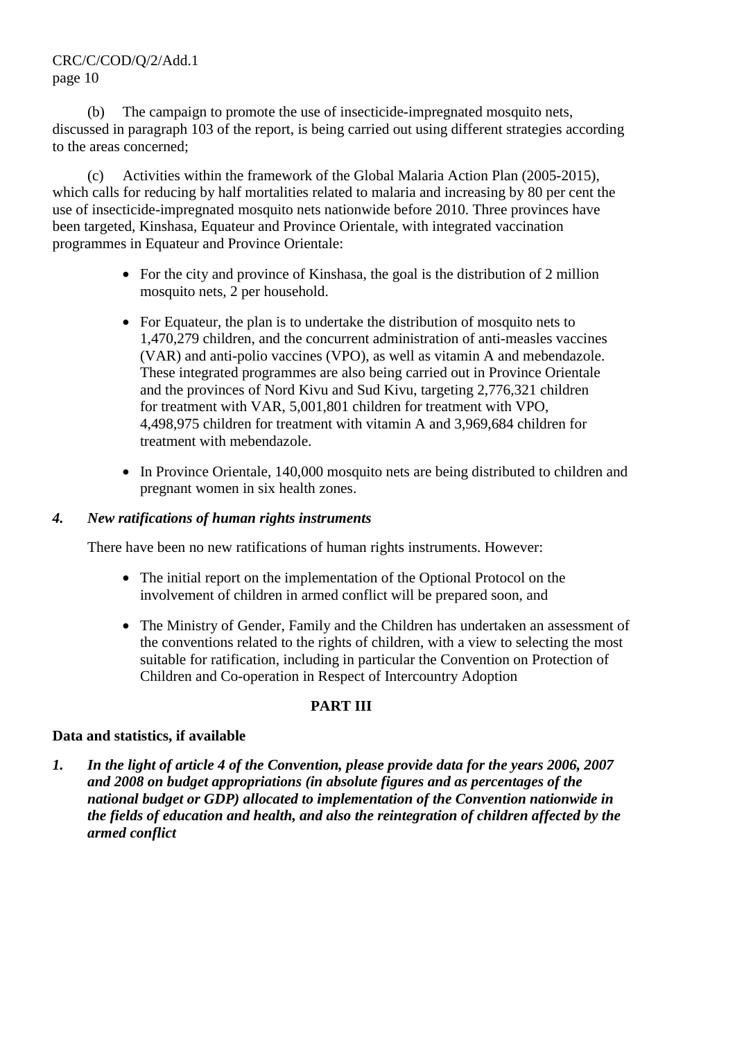# CRC/C/COD/Q/2/Add.1 page 10

 (b) The campaign to promote the use of insecticide-impregnated mosquito nets, discussed in paragraph 103 of the report, is being carried out using different strategies according to the areas concerned;

 (c) Activities within the framework of the Global Malaria Action Plan (2005-2015), which calls for reducing by half mortalities related to malaria and increasing by 80 per cent the use of insecticide-impregnated mosquito nets nationwide before 2010. Three provinces have been targeted, Kinshasa, Equateur and Province Orientale, with integrated vaccination programmes in Equateur and Province Orientale:

- For the city and province of Kinshasa, the goal is the distribution of 2 million mosquito nets, 2 per household.
- For Equateur, the plan is to undertake the distribution of mosquito nets to 1,470,279 children, and the concurrent administration of anti-measles vaccines (VAR) and anti-polio vaccines (VPO), as well as vitamin A and mebendazole. These integrated programmes are also being carried out in Province Orientale and the provinces of Nord Kivu and Sud Kivu, targeting 2,776,321 children for treatment with VAR, 5,001,801 children for treatment with VPO, 4,498,975 children for treatment with vitamin A and 3,969,684 children for treatment with mebendazole.
- In Province Orientale, 140,000 mosquito nets are being distributed to children and pregnant women in six health zones.

# *4. New ratifications of human rights instruments*

There have been no new ratifications of human rights instruments. However:

- The initial report on the implementation of the Optional Protocol on the involvement of children in armed conflict will be prepared soon, and
- The Ministry of Gender, Family and the Children has undertaken an assessment of the conventions related to the rights of children, with a view to selecting the most suitable for ratification, including in particular the Convention on Protection of Children and Co-operation in Respect of Intercountry Adoption

#### **PART III**

#### **Data and statistics, if available**

*1. In the light of article 4 of the Convention, please provide data for the years 2006, 2007 and 2008 on budget appropriations (in absolute figures and as percentages of the national budget or GDP) allocated to implementation of the Convention nationwide in the fields of education and health, and also the reintegration of children affected by the armed conflict*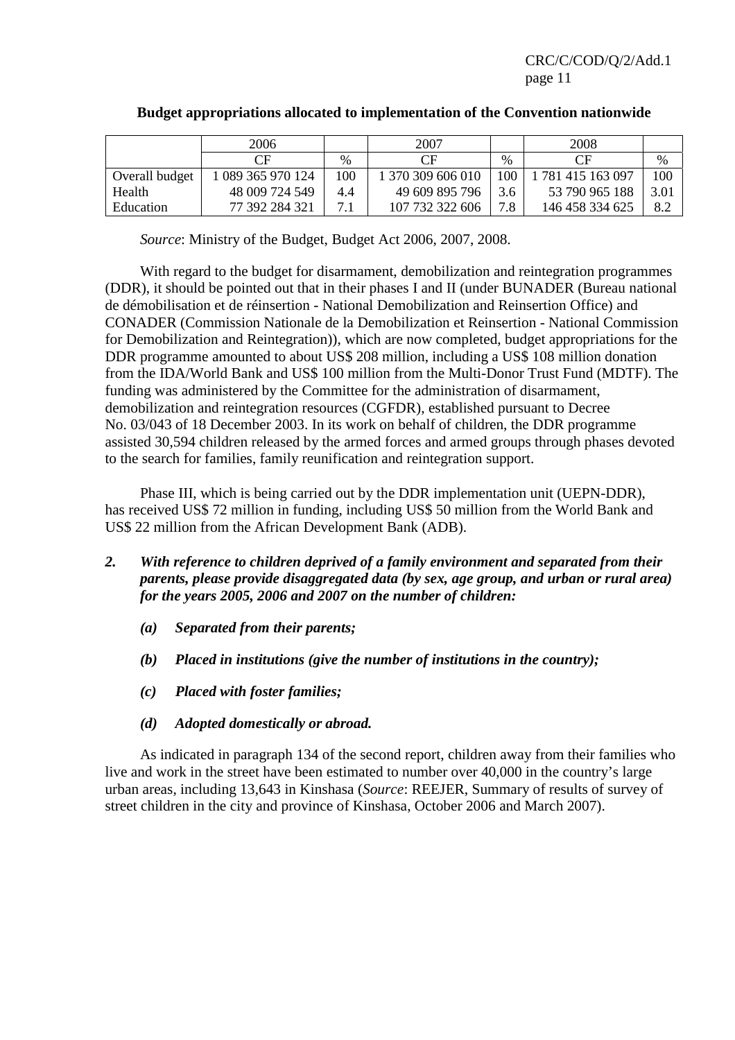CRC/C/COD/Q/2/Add.1 page 11

|                | 2006              |      | 2007              |               | 2008              |      |
|----------------|-------------------|------|-------------------|---------------|-------------------|------|
|                | CΕ                | $\%$ | CF                | $\frac{0}{0}$ | CF                | $\%$ |
| Overall budget | 1 089 365 970 124 | 100  | 1 370 309 606 010 | 100           | 1 781 415 163 097 | 100  |
| Health         | 48 009 724 549    | 4.4  | 49 609 895 796    | 3.6           | 53 790 965 188    | 3.01 |
| Education      | 77 392 284 321    | 71   | 107 732 322 606   | 7.8           | 146 458 334 625   | 8.2  |

# **Budget appropriations allocated to implementation of the Convention nationwide**

 *Source*: Ministry of the Budget, Budget Act 2006, 2007, 2008.

 With regard to the budget for disarmament, demobilization and reintegration programmes (DDR), it should be pointed out that in their phases I and II (under BUNADER (Bureau national de démobilisation et de réinsertion - National Demobilization and Reinsertion Office) and CONADER (Commission Nationale de la Demobilization et Reinsertion - National Commission for Demobilization and Reintegration)), which are now completed, budget appropriations for the DDR programme amounted to about US\$ 208 million, including a US\$ 108 million donation from the IDA/World Bank and US\$ 100 million from the Multi-Donor Trust Fund (MDTF). The funding was administered by the Committee for the administration of disarmament, demobilization and reintegration resources (CGFDR), established pursuant to Decree No. 03/043 of 18 December 2003. In its work on behalf of children, the DDR programme assisted 30,594 children released by the armed forces and armed groups through phases devoted to the search for families, family reunification and reintegration support.

 Phase III, which is being carried out by the DDR implementation unit (UEPN-DDR), has received US\$ 72 million in funding, including US\$ 50 million from the World Bank and US\$ 22 million from the African Development Bank (ADB).

- *2. With reference to children deprived of a family environment and separated from their parents, please provide disaggregated data (by sex, age group, and urban or rural area) for the years 2005, 2006 and 2007 on the number of children:* 
	- *(a) Separated from their parents;*
	- *(b) Placed in institutions (give the number of institutions in the country);*
	- *(c) Placed with foster families;*
	- *(d) Adopted domestically or abroad.*

 As indicated in paragraph 134 of the second report, children away from their families who live and work in the street have been estimated to number over 40,000 in the country's large urban areas, including 13,643 in Kinshasa (*Source*: REEJER, Summary of results of survey of street children in the city and province of Kinshasa, October 2006 and March 2007).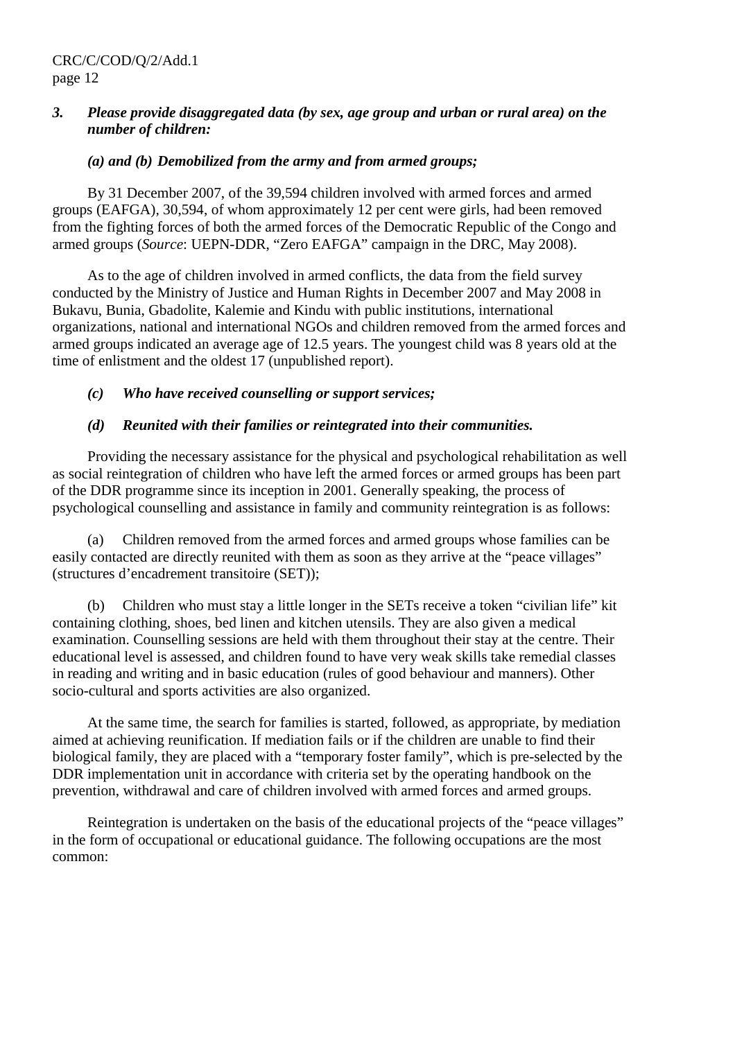## *3. Please provide disaggregated data (by sex, age group and urban or rural area) on the number of children:*

# *(a) and (b) Demobilized from the army and from armed groups;*

 By 31 December 2007, of the 39,594 children involved with armed forces and armed groups (EAFGA), 30,594, of whom approximately 12 per cent were girls, had been removed from the fighting forces of both the armed forces of the Democratic Republic of the Congo and armed groups (*Source*: UEPN-DDR, "Zero EAFGA" campaign in the DRC, May 2008).

 As to the age of children involved in armed conflicts, the data from the field survey conducted by the Ministry of Justice and Human Rights in December 2007 and May 2008 in Bukavu, Bunia, Gbadolite, Kalemie and Kindu with public institutions, international organizations, national and international NGOs and children removed from the armed forces and armed groups indicated an average age of 12.5 years. The youngest child was 8 years old at the time of enlistment and the oldest 17 (unpublished report).

# *(c) Who have received counselling or support services;*

# *(d) Reunited with their families or reintegrated into their communities.*

 Providing the necessary assistance for the physical and psychological rehabilitation as well as social reintegration of children who have left the armed forces or armed groups has been part of the DDR programme since its inception in 2001. Generally speaking, the process of psychological counselling and assistance in family and community reintegration is as follows:

 (a) Children removed from the armed forces and armed groups whose families can be easily contacted are directly reunited with them as soon as they arrive at the "peace villages" (structures d'encadrement transitoire (SET));

 (b) Children who must stay a little longer in the SETs receive a token "civilian life" kit containing clothing, shoes, bed linen and kitchen utensils. They are also given a medical examination. Counselling sessions are held with them throughout their stay at the centre. Their educational level is assessed, and children found to have very weak skills take remedial classes in reading and writing and in basic education (rules of good behaviour and manners). Other socio-cultural and sports activities are also organized.

 At the same time, the search for families is started, followed, as appropriate, by mediation aimed at achieving reunification. If mediation fails or if the children are unable to find their biological family, they are placed with a "temporary foster family", which is pre-selected by the DDR implementation unit in accordance with criteria set by the operating handbook on the prevention, withdrawal and care of children involved with armed forces and armed groups.

 Reintegration is undertaken on the basis of the educational projects of the "peace villages" in the form of occupational or educational guidance. The following occupations are the most common: